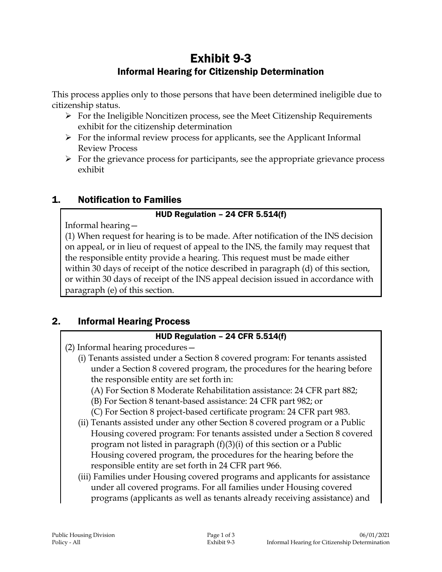# Exhibit 9-3 Informal Hearing for Citizenship Determination

This process applies only to those persons that have been determined ineligible due to citizenship status.

- $\triangleright$  For the Ineligible Noncitizen process, see the Meet Citizenship Requirements exhibit for the citizenship determination
- $\triangleright$  For the informal review process for applicants, see the Applicant Informal Review Process
- $\triangleright$  For the grievance process for participants, see the appropriate grievance process exhibit

## 1. Notification to Families

## HUD Regulation – 24 CFR 5.514(f)

Informal hearing—

(1) When request for hearing is to be made. After notification of the INS decision on appeal, or in lieu of request of appeal to the INS, the family may request that the responsible entity provide a hearing. This request must be made either within 30 days of receipt of the notice described in paragraph (d) of this section, or within 30 days of receipt of the INS appeal decision issued in accordance with paragraph (e) of this section.

## 2. Informal Hearing Process

## HUD Regulation – 24 CFR 5.514(f)

(2) Informal hearing procedures—

- (i) Tenants assisted under a Section 8 covered program: For tenants assisted under a Section 8 covered program, the procedures for the hearing before the responsible entity are set forth in:
	- (A) For Section 8 Moderate Rehabilitation assistance: 24 CFR part 882;
	- (B) For Section 8 tenant-based assistance: 24 CFR part 982; or
	- (C) For Section 8 project-based certificate program: 24 CFR part 983.
- (ii) Tenants assisted under any other Section 8 covered program or a Public Housing covered program: For tenants assisted under a Section 8 covered program not listed in paragraph (f)(3)(i) of this section or a Public Housing covered program, the procedures for the hearing before the responsible entity are set forth in 24 CFR part 966.
- (iii) Families under Housing covered programs and applicants for assistance under all covered programs. For all families under Housing covered programs (applicants as well as tenants already receiving assistance) and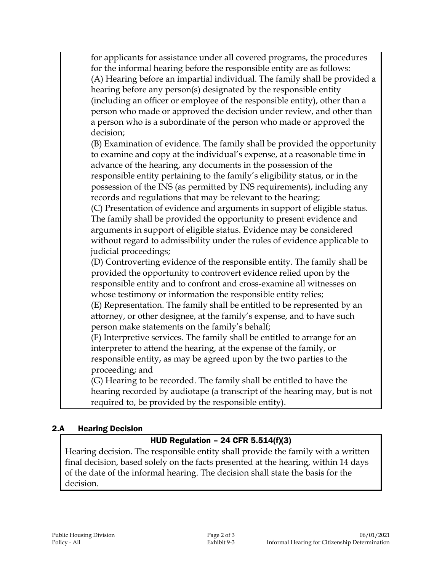for applicants for assistance under all covered programs, the procedures for the informal hearing before the responsible entity are as follows: (A) Hearing before an impartial individual. The family shall be provided a hearing before any person(s) designated by the responsible entity (including an officer or employee of the responsible entity), other than a person who made or approved the decision under review, and other than a person who is a subordinate of the person who made or approved the decision;

(B) Examination of evidence. The family shall be provided the opportunity to examine and copy at the individual's expense, at a reasonable time in advance of the hearing, any documents in the possession of the responsible entity pertaining to the family's eligibility status, or in the possession of the INS (as permitted by INS requirements), including any records and regulations that may be relevant to the hearing;

(C) Presentation of evidence and arguments in support of eligible status. The family shall be provided the opportunity to present evidence and arguments in support of eligible status. Evidence may be considered without regard to admissibility under the rules of evidence applicable to judicial proceedings;

(D) Controverting evidence of the responsible entity. The family shall be provided the opportunity to controvert evidence relied upon by the responsible entity and to confront and cross-examine all witnesses on whose testimony or information the responsible entity relies;

(E) Representation. The family shall be entitled to be represented by an attorney, or other designee, at the family's expense, and to have such person make statements on the family's behalf;

(F) Interpretive services. The family shall be entitled to arrange for an interpreter to attend the hearing, at the expense of the family, or responsible entity, as may be agreed upon by the two parties to the proceeding; and

(G) Hearing to be recorded. The family shall be entitled to have the hearing recorded by audiotape (a transcript of the hearing may, but is not required to, be provided by the responsible entity).

#### 2.A Hearing Decision

## HUD Regulation – 24 CFR 5.514(f)(3)

Hearing decision. The responsible entity shall provide the family with a written final decision, based solely on the facts presented at the hearing, within 14 days of the date of the informal hearing. The decision shall state the basis for the decision.